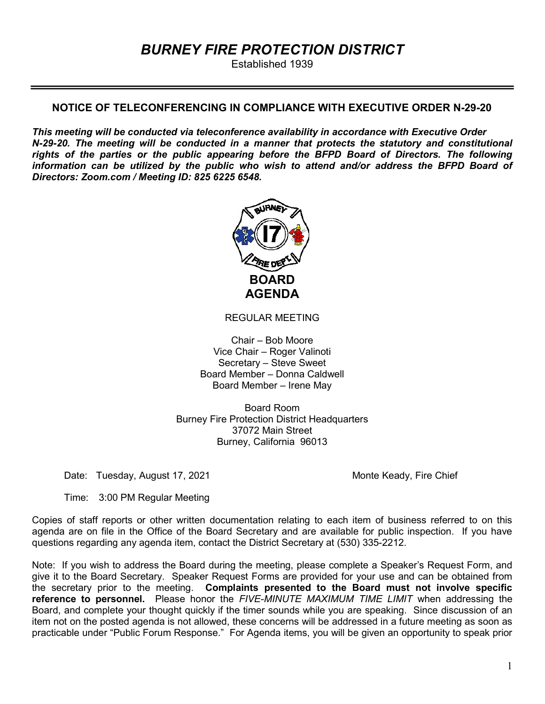# BURNEY FIRE PROTECTION DISTRICT

Established 1939

### NOTICE OF TELECONFERENCING IN COMPLIANCE WITH EXECUTIVE ORDER N-29-20

This meeting will be conducted via teleconference availability in accordance with Executive Order N-29-20. The meeting will be conducted in a manner that protects the statutory and constitutional rights of the parties or the public appearing before the BFPD Board of Directors. The following information can be utilized by the public who wish to attend and/or address the BFPD Board of Directors: Zoom.com / Meeting ID: 825 6225 6548.



REGULAR MEETING

Chair – Bob Moore Vice Chair – Roger Valinoti Secretary – Steve Sweet Board Member – Donna Caldwell Board Member – Irene May

Board Room Burney Fire Protection District Headquarters 37072 Main Street Burney, California 96013

Date: Tuesday, August 17, 2021 Monte Keady, Fire Chief

Time: 3:00 PM Regular Meeting

Copies of staff reports or other written documentation relating to each item of business referred to on this agenda are on file in the Office of the Board Secretary and are available for public inspection. If you have questions regarding any agenda item, contact the District Secretary at (530) 335-2212.

Note: If you wish to address the Board during the meeting, please complete a Speaker's Request Form, and give it to the Board Secretary. Speaker Request Forms are provided for your use and can be obtained from the secretary prior to the meeting. Complaints presented to the Board must not involve specific reference to personnel. Please honor the FIVE-MINUTE MAXIMUM TIME LIMIT when addressing the Board, and complete your thought quickly if the timer sounds while you are speaking. Since discussion of an item not on the posted agenda is not allowed, these concerns will be addressed in a future meeting as soon as practicable under "Public Forum Response." For Agenda items, you will be given an opportunity to speak prior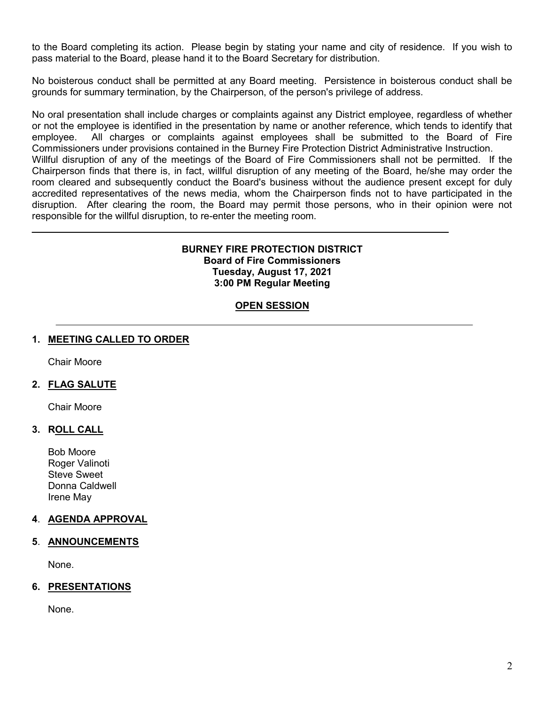to the Board completing its action. Please begin by stating your name and city of residence. If you wish to pass material to the Board, please hand it to the Board Secretary for distribution.

No boisterous conduct shall be permitted at any Board meeting. Persistence in boisterous conduct shall be grounds for summary termination, by the Chairperson, of the person's privilege of address.

No oral presentation shall include charges or complaints against any District employee, regardless of whether or not the employee is identified in the presentation by name or another reference, which tends to identify that employee. All charges or complaints against employees shall be submitted to the Board of Fire Commissioners under provisions contained in the Burney Fire Protection District Administrative Instruction. Willful disruption of any of the meetings of the Board of Fire Commissioners shall not be permitted. If the

Chairperson finds that there is, in fact, willful disruption of any meeting of the Board, he/she may order the room cleared and subsequently conduct the Board's business without the audience present except for duly accredited representatives of the news media, whom the Chairperson finds not to have participated in the disruption. After clearing the room, the Board may permit those persons, who in their opinion were not responsible for the willful disruption, to re-enter the meeting room.

#### BURNEY FIRE PROTECTION DISTRICT Board of Fire Commissioners Tuesday, August 17, 2021 3:00 PM Regular Meeting

### **OPEN SESSION**

### 1. MEETING CALLED TO ORDER

Chair Moore

### 2. FLAG SALUTE

Chair Moore

### 3. ROLL CALL

Bob Moore Roger Valinoti Steve Sweet Donna Caldwell Irene May

### 4. AGENDA APPROVAL

### 5. ANNOUNCEMENTS

None.

### 6. PRESENTATIONS

None.